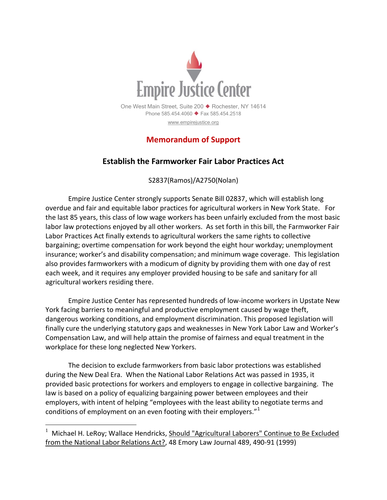

## **Memorandum of Support**

## **Establish the Farmworker Fair Labor Practices Act**

S2837(Ramos)/A2750(Nolan)

Empire Justice Center strongly supports Senate Bill 02837, which will establish long overdue and fair and equitable labor practices for agricultural workers in New York State. For the last 85 years, this class of low wage workers has been unfairly excluded from the most basic labor law protections enjoyed by all other workers. As set forth in this bill, the Farmworker Fair Labor Practices Act finally extends to agricultural workers the same rights to collective bargaining; overtime compensation for work beyond the eight hour workday; unemployment insurance; worker's and disability compensation; and minimum wage coverage. This legislation also provides farmworkers with a modicum of dignity by providing them with one day of rest each week, and it requires any employer provided housing to be safe and sanitary for all agricultural workers residing there.

Empire Justice Center has represented hundreds of low-income workers in Upstate New York facing barriers to meaningful and productive employment caused by wage theft, dangerous working conditions, and employment discrimination. This proposed legislation will finally cure the underlying statutory gaps and weaknesses in New York Labor Law and Worker's Compensation Law, and will help attain the promise of fairness and equal treatment in the workplace for these long neglected New Yorkers.

The decision to exclude farmworkers from basic labor protections was established during the New Deal Era. When the National Labor Relations Act was passed in 1935, it provided basic protections for workers and employers to engage in collective bargaining. The law is based on a policy of equalizing bargaining power between employees and their employers, with intent of helping "employees with the least ability to negotiate terms and conditions of employment on an even footing with their employers." $1$ 

 $1$  Michael H. LeRoy; Wallace Hendricks, Should "Agricultural Laborers" Continue to Be Excluded from the National Labor Relations Act?, 48 Emory Law Journal 489, 490-91 (1999)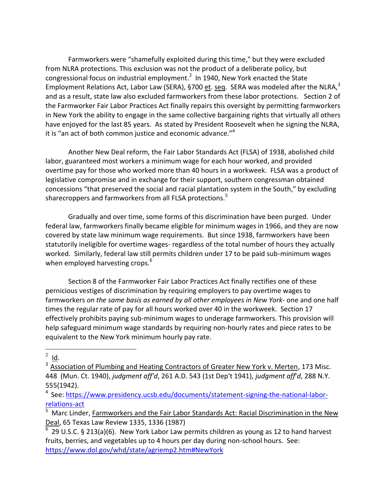Farmworkers were "shamefully exploited during this time," but they were excluded from NLRA protections. This exclusion was not the product of a deliberate policy, but congressional focus on industrial employment.<sup>2</sup> In 1940, New York enacted the State Employment Relations Act, Labor Law (SERA), §700 et. seq. SERA was modeled after the NLRA, $^3$ and as a result, state law also excluded farmworkers from these labor protections. Section 2 of the Farmworker Fair Labor Practices Act finally repairs this oversight by permitting farmworkers in New York the ability to engage in the same collective bargaining rights that virtually all others have enjoyed for the last 85 years. As stated by President Roosevelt when he signing the NLRA, it is "an act of both common justice and economic advance."<sup>4</sup>

Another New Deal reform, the Fair Labor Standards Act (FLSA) of 1938, abolished child labor, guaranteed most workers a minimum wage for each hour worked, and provided overtime pay for those who worked more than 40 hours in a workweek. FLSA was a product of legislative compromise and in exchange for their support, southern congressman obtained concessions "that preserved the social and racial plantation system in the South," by excluding sharecroppers and farmworkers from all FLSA protections.<sup>5</sup>

Gradually and over time, some forms of this discrimination have been purged. Under federal law, farmworkers finally became eligible for minimum wages in 1966, and they are now covered by state law minimum wage requirements. But since 1938, farmworkers have been statutorily ineligible for overtime wages- regardless of the total number of hours they actually worked. Similarly, federal law still permits children under 17 to be paid sub-minimum wages when employed harvesting crops.<sup>6</sup>

Section 8 of the Farmworker Fair Labor Practices Act finally rectifies one of these pernicious vestiges of discrimination by requiring employers to pay overtime wages to farmworkers *on the same basis as earned by all other employees in New York-* one and one half times the regular rate of pay for all hours worked over 40 in the workweek. Section 17 effectively prohibits paying sub-minimum wages to underage farmworkers. This provision will help safeguard minimum wage standards by requiring non-hourly rates and piece rates to be equivalent to the New York minimum hourly pay rate.

 $^2$  <u>Id</u>.

 $3\overline{A}$  Association of Plumbing and Heating Contractors of Greater New York v. Merten, 173 Misc. 448 (Mun. Ct. 1940), *judgment aff'd*, 261 A.D. 543 (1st Dep't 1941), *judgment aff*'*d*, 288 N.Y. 555(1942).

<sup>&</sup>lt;sup>4</sup> See: [https://www.presidency.ucsb.edu/documents/statement-signing-the-national-labor](https://www.presidency.ucsb.edu/documents/statement-signing-the-national-labor-relations-act)[relations-act](https://www.presidency.ucsb.edu/documents/statement-signing-the-national-labor-relations-act)

<sup>5</sup> Marc Linder, Farmworkers and the Fair Labor Standards Act: Racial Discrimination in the New Deal, 65 Texas Law Review 1335, 1336 (1987)

<sup>6</sup> 29 U.S.C. § 213(a)(6). New York Labor Law permits children as young as 12 to hand harvest fruits, berries, and vegetables up to 4 hours per day during non-school hours. See: [https://www.dol.gov/whd/state/agriemp2.htm#NewYork](https://www.dol.gov/whd/state/agriemp2.htm%23NewYork)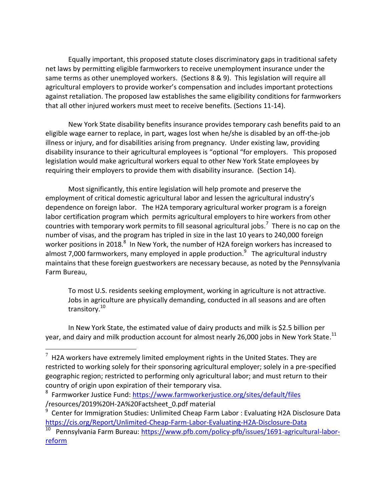Equally important, this proposed statute closes discriminatory gaps in traditional safety net laws by permitting eligible farmworkers to receive unemployment insurance under the same terms as other unemployed workers. (Sections 8 & 9). This legislation will require all agricultural employers to provide worker's compensation and includes important protections against retaliation. The proposed law establishes the same eligibility conditions for farmworkers that all other injured workers must meet to receive benefits. (Sections 11-14).

New York State disability benefits insurance provides temporary cash benefits paid to an eligible wage earner to replace, in part, wages lost when he/she is disabled by an off-the-job illness or injury, and for disabilities arising from pregnancy. Under existing law, providing disability insurance to their agricultural employees is "optional "for employers. This proposed legislation would make agricultural workers equal to other New York State employees by requiring their employers to provide them with disability insurance. (Section 14).

Most significantly, this entire legislation will help promote and preserve the employment of critical domestic agricultural labor and lessen the agricultural industry's dependence on foreign labor. The H2A temporary agricultural worker program is a foreign labor certification program which permits agricultural employers to hire workers from other countries with temporary work permits to fill seasonal agricultural jobs.<sup>7</sup> There is no cap on the number of visas, and the program has tripled in size in the last 10 years to 240,000 foreign worker positions in 2018. $^8$  In New York, the number of H2A foreign workers has increased to almost 7,000 farmworkers, many employed in apple production.<sup>9</sup> The agricultural industry maintains that these foreign guestworkers are necessary because, as noted by the Pennsylvania Farm Bureau,

To most U.S. residents seeking employment, working in agriculture is not attractive. Jobs in agriculture are physically demanding, conducted in all seasons and are often transitory.<sup>10</sup>

In New York State, the estimated value of dairy products and milk is \$2.5 billion per year, and dairy and milk production account for almost nearly 26,000 jobs in New York State. $^{11}$ 

 $7$  H2A workers have extremely limited employment rights in the United States. They are restricted to working solely for their sponsoring agricultural employer; solely in a pre-specified geographic region; restricted to performing only agricultural labor; and must return to their country of origin upon expiration of their temporary visa.

<sup>&</sup>lt;sup>8</sup> Farmworker Justice Fund[: https://www.farmworkerjustice.org/sites/default/files](https://www.farmworkerjustice.org/sites/default/files) /resources/2019%20H-2A%20Factsheet\_0.pdf material

<sup>9</sup> Center for Immigration Studies: Unlimited Cheap Farm Labor : Evaluating H2A Disclosure Data <https://cis.org/Report/Unlimited-Cheap-Farm-Labor-Evaluating-H2A-Disclosure-Data>

<sup>10</sup> Pennsylvania Farm Bureau: [https://www.pfb.com/policy-pfb/issues/1691-agricultural-labor](https://www.pfb.com/policy-pfb/issues/1691-agricultural-labor-reform)[reform](https://www.pfb.com/policy-pfb/issues/1691-agricultural-labor-reform)